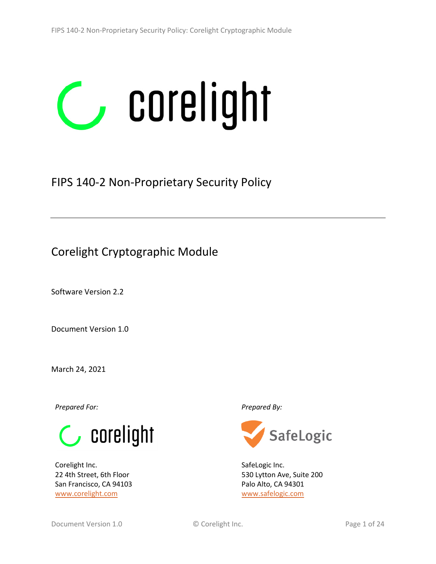# corelight  $\overline{\phantom{a}}$

# FIPS 140-2 Non-Proprietary Security Policy

# Corelight Cryptographic Module

Software Version 2.2

Document Version 1.0

March 24, 2021

*Prepared For: Prepared By:*



Corelight Inc. 22 4th Street, 6th Floor San Francisco, CA 94103 [www.corelight.com](http://www.corelight.com/)



SafeLogic Inc. 530 Lytton Ave, Suite 200 Palo Alto, CA 94301 [www.safelogic.com](http://www.safelogic.com/)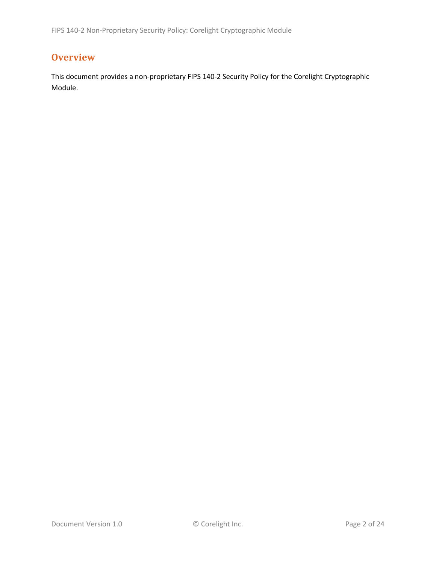# **Overview**

This document provides a non-proprietary FIPS 140-2 Security Policy for the Corelight Cryptographic Module.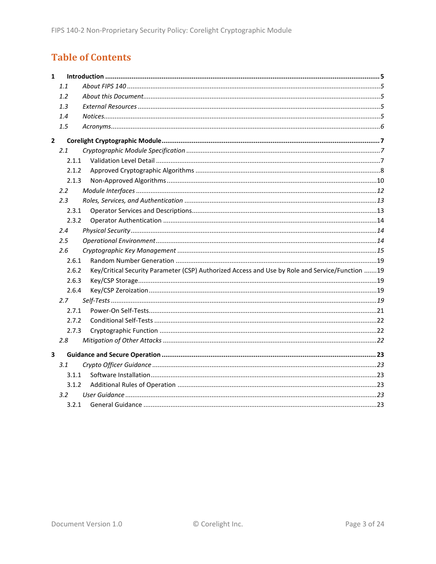# **Table of Contents**

| $\mathbf{1}$ |                  |                                                                                                 |  |
|--------------|------------------|-------------------------------------------------------------------------------------------------|--|
|              | 1.1              |                                                                                                 |  |
|              | 1.2              |                                                                                                 |  |
|              | 1.3              |                                                                                                 |  |
|              | 1.4              |                                                                                                 |  |
|              | 1.5              |                                                                                                 |  |
| $\mathbf{2}$ |                  |                                                                                                 |  |
|              | 2.1              |                                                                                                 |  |
|              | 2.1.1            |                                                                                                 |  |
|              | 2.1.2            |                                                                                                 |  |
|              | 2.1.3            |                                                                                                 |  |
|              | $2.2\phantom{0}$ |                                                                                                 |  |
|              | 2.3              |                                                                                                 |  |
|              | 2.3.1            |                                                                                                 |  |
|              | 2.3.2            |                                                                                                 |  |
|              | 2.4              |                                                                                                 |  |
|              | $2.5\,$          |                                                                                                 |  |
|              | 2.6              |                                                                                                 |  |
|              | 2.6.1            |                                                                                                 |  |
|              | 2.6.2            | Key/Critical Security Parameter (CSP) Authorized Access and Use by Role and Service/Function 19 |  |
|              | 2.6.3            |                                                                                                 |  |
|              | 2.6.4            |                                                                                                 |  |
|              | 2.7              |                                                                                                 |  |
|              | 2.7.1            |                                                                                                 |  |
|              | 2.7.2            |                                                                                                 |  |
|              | 2.7.3            |                                                                                                 |  |
|              | 2.8              |                                                                                                 |  |
| 3            |                  |                                                                                                 |  |
|              | 3.1              |                                                                                                 |  |
|              | 3.1.1            |                                                                                                 |  |
|              | 3.1.2            |                                                                                                 |  |
|              | 3.2              |                                                                                                 |  |
|              | 3.2.1            |                                                                                                 |  |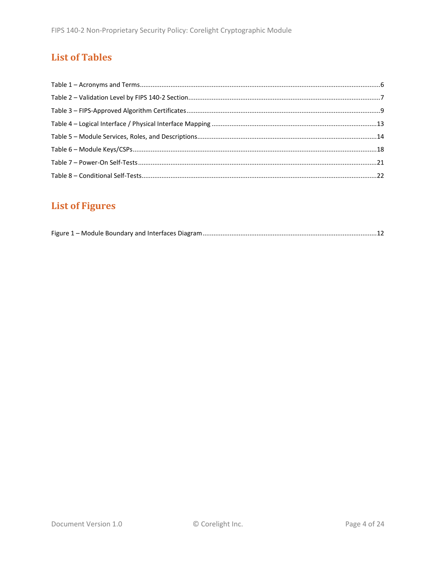# **List of Tables**

# **List of Figures**

|--|--|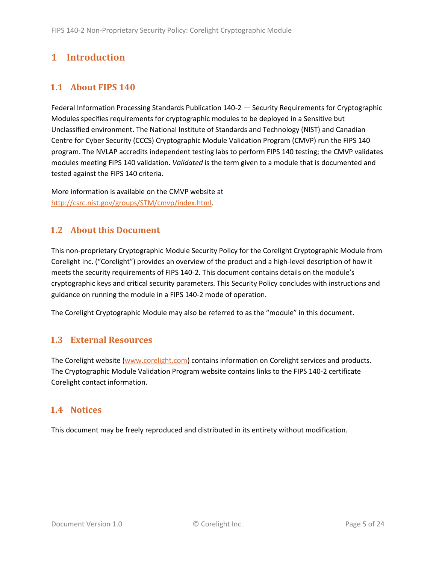# <span id="page-4-0"></span>**1 Introduction**

# <span id="page-4-1"></span>**1.1 About FIPS 140**

Federal Information Processing Standards Publication 140-2 — Security Requirements for Cryptographic Modules specifies requirements for cryptographic modules to be deployed in a Sensitive but Unclassified environment. The National Institute of Standards and Technology (NIST) and Canadian Centre for Cyber Security (CCCS) Cryptographic Module Validation Program (CMVP) run the FIPS 140 program. The NVLAP accredits independent testing labs to perform FIPS 140 testing; the CMVP validates modules meeting FIPS 140 validation. *Validated* is the term given to a module that is documented and tested against the FIPS 140 criteria.

More information is available on the CMVP website at [http://csrc.nist.gov/groups/STM/cmvp/index.html.](http://csrc.nist.gov/groups/STM/cmvp/index.html)

# <span id="page-4-2"></span>**1.2 About this Document**

This non-proprietary Cryptographic Module Security Policy for the Corelight Cryptographic Module from Corelight Inc. ("Corelight") provides an overview of the product and a high-level description of how it meets the security requirements of FIPS 140-2. This document contains details on the module's cryptographic keys and critical security parameters. This Security Policy concludes with instructions and guidance on running the module in a FIPS 140-2 mode of operation.

The Corelight Cryptographic Module may also be referred to as the "module" in this document.

## <span id="page-4-3"></span>**1.3 External Resources**

The Corelight website [\(www.corelight.com\)](http://www.corelight.com/) contains information on Corelight services and products. The Cryptographic Module Validation Program website contains links to the FIPS 140-2 certificate Corelight contact information.

## <span id="page-4-4"></span>**1.4 Notices**

This document may be freely reproduced and distributed in its entirety without modification.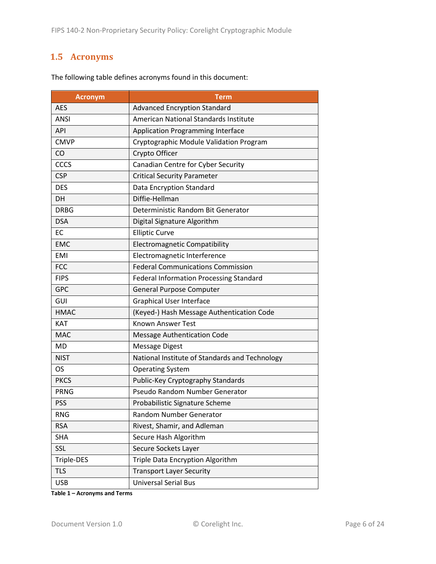# <span id="page-5-0"></span>**1.5 Acronyms**

| <b>Acronym</b> | <b>Term</b>                                    |  |  |  |  |
|----------------|------------------------------------------------|--|--|--|--|
| <b>AES</b>     | <b>Advanced Encryption Standard</b>            |  |  |  |  |
| <b>ANSI</b>    | American National Standards Institute          |  |  |  |  |
| <b>API</b>     | <b>Application Programming Interface</b>       |  |  |  |  |
| <b>CMVP</b>    | Cryptographic Module Validation Program        |  |  |  |  |
| <b>CO</b>      | Crypto Officer                                 |  |  |  |  |
| CCCS           | Canadian Centre for Cyber Security             |  |  |  |  |
| <b>CSP</b>     | <b>Critical Security Parameter</b>             |  |  |  |  |
| <b>DES</b>     | Data Encryption Standard                       |  |  |  |  |
| <b>DH</b>      | Diffie-Hellman                                 |  |  |  |  |
| <b>DRBG</b>    | Deterministic Random Bit Generator             |  |  |  |  |
| <b>DSA</b>     | Digital Signature Algorithm                    |  |  |  |  |
| EC             | <b>Elliptic Curve</b>                          |  |  |  |  |
| <b>EMC</b>     | <b>Electromagnetic Compatibility</b>           |  |  |  |  |
| <b>EMI</b>     | Electromagnetic Interference                   |  |  |  |  |
| <b>FCC</b>     | <b>Federal Communications Commission</b>       |  |  |  |  |
| <b>FIPS</b>    | Federal Information Processing Standard        |  |  |  |  |
| <b>GPC</b>     | <b>General Purpose Computer</b>                |  |  |  |  |
| GUI            | <b>Graphical User Interface</b>                |  |  |  |  |
| <b>HMAC</b>    | (Keyed-) Hash Message Authentication Code      |  |  |  |  |
| KAT            | <b>Known Answer Test</b>                       |  |  |  |  |
| <b>MAC</b>     | <b>Message Authentication Code</b>             |  |  |  |  |
| MD             | <b>Message Digest</b>                          |  |  |  |  |
| <b>NIST</b>    | National Institute of Standards and Technology |  |  |  |  |
| OS.            | <b>Operating System</b>                        |  |  |  |  |
| <b>PKCS</b>    | Public-Key Cryptography Standards              |  |  |  |  |
| <b>PRNG</b>    | Pseudo Random Number Generator                 |  |  |  |  |
| <b>PSS</b>     | Probabilistic Signature Scheme                 |  |  |  |  |
| <b>RNG</b>     | Random Number Generator                        |  |  |  |  |
| <b>RSA</b>     | Rivest, Shamir, and Adleman                    |  |  |  |  |
| <b>SHA</b>     | Secure Hash Algorithm                          |  |  |  |  |
| SSL            | Secure Sockets Layer                           |  |  |  |  |
| Triple-DES     | Triple Data Encryption Algorithm               |  |  |  |  |
| <b>TLS</b>     | <b>Transport Layer Security</b>                |  |  |  |  |
| <b>USB</b>     | <b>Universal Serial Bus</b>                    |  |  |  |  |

The following table defines acronyms found in this document:

**Table 1 – Acronyms and Terms**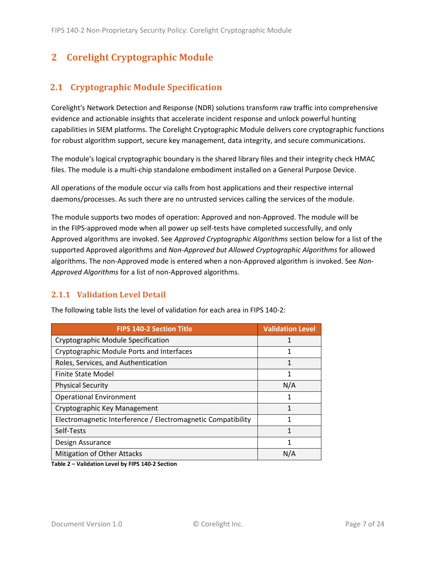# <span id="page-6-0"></span>**2 Corelight Cryptographic Module**

# <span id="page-6-1"></span>**2.1 Cryptographic Module Specification**

Corelight's Network Detection and Response (NDR) solutions transform raw traffic into comprehensive evidence and actionable insights that accelerate incident response and unlock powerful hunting capabilities in SIEM platforms. The Corelight Cryptographic Module delivers core cryptographic functions for robust algorithm support, secure key management, data integrity, and secure communications.

The module's logical cryptographic boundary is the shared library files and their integrity check HMAC files. The module is a multi-chip standalone embodiment installed on a General Purpose Device.

All operations of the module occur via calls from host applications and their respective internal daemons/processes. As such there are no untrusted services calling the services of the module.

The module supports two modes of operation: Approved and non-Approved. The module will be in the FIPS-approved mode when all power up self-tests have completed successfully, and only Approved algorithms are invoked. See *Approved Cryptographic Algorithms* section below for a list of the supported Approved algorithms and *Non-Approved but Allowed Cryptographic Algorithms* for allowed algorithms. The non-Approved mode is entered when a non-Approved algorithm is invoked. See *Non-Approved Algorithms* for a list of non-Approved algorithms.

#### <span id="page-6-2"></span>**2.1.1 Validation Level Detail**

| <b>FIPS 140-2 Section Title</b>                              | <b>Validation Level</b> |
|--------------------------------------------------------------|-------------------------|
| Cryptographic Module Specification                           |                         |
| Cryptographic Module Ports and Interfaces                    | 1                       |
| Roles, Services, and Authentication                          | 1                       |
| Finite State Model                                           | 1                       |
| <b>Physical Security</b>                                     | N/A                     |
| <b>Operational Environment</b>                               | 1                       |
| Cryptographic Key Management                                 | 1                       |
| Electromagnetic Interference / Electromagnetic Compatibility | 1                       |
| Self-Tests                                                   | 1                       |
| Design Assurance                                             |                         |
| <b>Mitigation of Other Attacks</b>                           | N/A                     |

The following table lists the level of validation for each area in FIPS 140-2:

**Table 2 – Validation Level by FIPS 140-2 Section**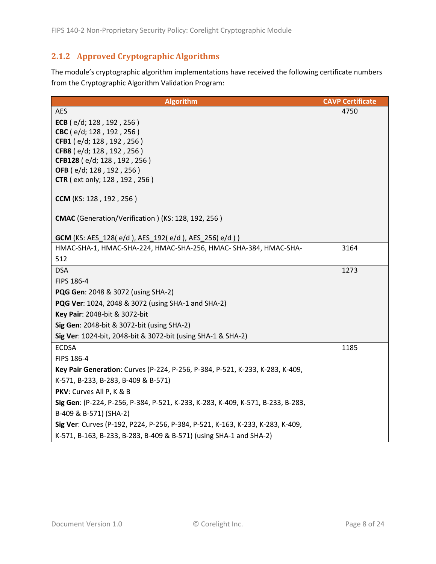# <span id="page-7-0"></span>**2.1.2 Approved Cryptographic Algorithms**

The module's cryptographic algorithm implementations have received the following certificate numbers from the Cryptographic Algorithm Validation Program:

| <b>Algorithm</b>                                                                | <b>CAVP Certificate</b> |
|---------------------------------------------------------------------------------|-------------------------|
| <b>AES</b>                                                                      | 4750                    |
| ECB (e/d; 128, 192, 256)                                                        |                         |
| CBC (e/d; 128, 192, 256)                                                        |                         |
| CFB1 (e/d; 128, 192, 256)                                                       |                         |
| CFB8 (e/d; 128, 192, 256)<br>CFB128 (e/d; 128, 192, 256)                        |                         |
| OFB (e/d; 128, 192, 256)                                                        |                         |
| <b>CTR</b> (ext only; 128, 192, 256)                                            |                         |
| CCM (KS: 128, 192, 256)                                                         |                         |
| <b>CMAC</b> (Generation/Verification) (KS: 128, 192, 256)                       |                         |
| <b>GCM</b> (KS: AES_128(e/d), AES_192(e/d), AES_256(e/d))                       |                         |
| HMAC-SHA-1, HMAC-SHA-224, HMAC-SHA-256, HMAC-SHA-384, HMAC-SHA-                 | 3164                    |
| 512                                                                             |                         |
| <b>DSA</b>                                                                      | 1273                    |
| FIPS 186-4                                                                      |                         |
| <b>PQG Gen:</b> 2048 & 3072 (using SHA-2)                                       |                         |
| <b>PQG Ver:</b> 1024, 2048 & 3072 (using SHA-1 and SHA-2)                       |                         |
| Key Pair: 2048-bit & 3072-bit                                                   |                         |
| Sig Gen: 2048-bit & 3072-bit (using SHA-2)                                      |                         |
| Sig Ver: 1024-bit, 2048-bit & 3072-bit (using SHA-1 & SHA-2)                    |                         |
| <b>ECDSA</b>                                                                    | 1185                    |
| FIPS 186-4                                                                      |                         |
| Key Pair Generation: Curves (P-224, P-256, P-384, P-521, K-233, K-283, K-409,   |                         |
| K-571, B-233, B-283, B-409 & B-571)                                             |                         |
| PKV: Curves All P, K & B                                                        |                         |
| Sig Gen: (P-224, P-256, P-384, P-521, K-233, K-283, K-409, K-571, B-233, B-283, |                         |
| B-409 & B-571) (SHA-2)                                                          |                         |
| Sig Ver: Curves (P-192, P224, P-256, P-384, P-521, K-163, K-233, K-283, K-409,  |                         |
| K-571, B-163, B-233, B-283, B-409 & B-571) (using SHA-1 and SHA-2)              |                         |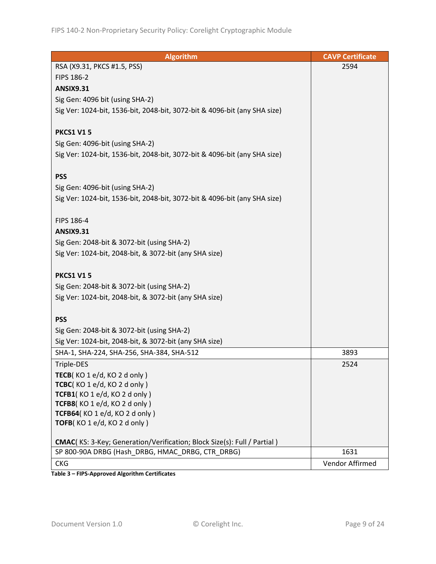| <b>Algorithm</b>                                                          | <b>CAVP Certificate</b> |
|---------------------------------------------------------------------------|-------------------------|
| RSA (X9.31, PKCS #1.5, PSS)                                               | 2594                    |
| <b>FIPS 186-2</b>                                                         |                         |
| <b>ANSIX9.31</b>                                                          |                         |
| Sig Gen: 4096 bit (using SHA-2)                                           |                         |
| Sig Ver: 1024-bit, 1536-bit, 2048-bit, 3072-bit & 4096-bit (any SHA size) |                         |
|                                                                           |                         |
| <b>PKCS1 V15</b>                                                          |                         |
| Sig Gen: 4096-bit (using SHA-2)                                           |                         |
| Sig Ver: 1024-bit, 1536-bit, 2048-bit, 3072-bit & 4096-bit (any SHA size) |                         |
|                                                                           |                         |
| <b>PSS</b>                                                                |                         |
| Sig Gen: 4096-bit (using SHA-2)                                           |                         |
| Sig Ver: 1024-bit, 1536-bit, 2048-bit, 3072-bit & 4096-bit (any SHA size) |                         |
|                                                                           |                         |
| FIPS 186-4                                                                |                         |
| <b>ANSIX9.31</b>                                                          |                         |
| Sig Gen: 2048-bit & 3072-bit (using SHA-2)                                |                         |
| Sig Ver: 1024-bit, 2048-bit, & 3072-bit (any SHA size)                    |                         |
|                                                                           |                         |
| <b>PKCS1 V15</b>                                                          |                         |
| Sig Gen: 2048-bit & 3072-bit (using SHA-2)                                |                         |
| Sig Ver: 1024-bit, 2048-bit, & 3072-bit (any SHA size)                    |                         |
|                                                                           |                         |
| <b>PSS</b>                                                                |                         |
| Sig Gen: 2048-bit & 3072-bit (using SHA-2)                                |                         |
| Sig Ver: 1024-bit, 2048-bit, & 3072-bit (any SHA size)                    |                         |
| SHA-1, SHA-224, SHA-256, SHA-384, SHA-512                                 | 3893                    |
| Triple-DES                                                                | 2524                    |
| TECB(KO 1 e/d, KO 2 d only)                                               |                         |
| TCBC(KO 1 e/d, KO 2 d only)                                               |                         |
| TCFB1(KO1e/d, KO2donly)                                                   |                         |
| TCFB8(KO 1 e/d, KO 2 d only)                                              |                         |
| TCFB64(KO1e/d, KO2d only)                                                 |                         |
| TOFB(KO1e/d, KO2d only)                                                   |                         |
| CMAC(KS: 3-Key; Generation/Verification; Block Size(s): Full / Partial)   |                         |
| SP 800-90A DRBG (Hash_DRBG, HMAC_DRBG, CTR_DRBG)                          | 1631                    |
| <b>CKG</b>                                                                | Vendor Affirmed         |
|                                                                           |                         |

**Table 3 – FIPS-Approved Algorithm Certificates**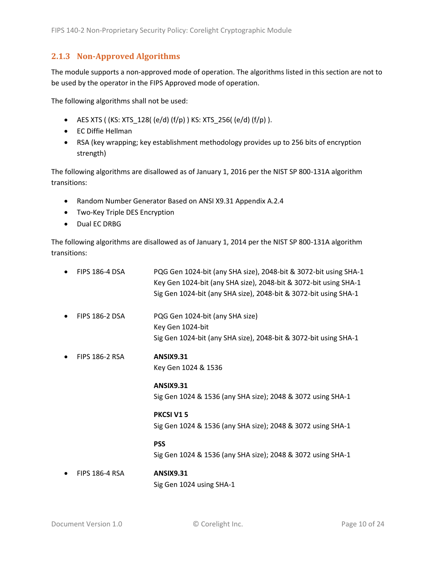#### <span id="page-9-0"></span>**2.1.3 Non-Approved Algorithms**

The module supports a non-approved mode of operation. The algorithms listed in this section are not to be used by the operator in the FIPS Approved mode of operation.

The following algorithms shall not be used:

- AES XTS (  $(KS: XTS_128$  (  $e/d$  )  $(f/p)$  )  $KS: XTS_256$  (  $e/d$  )  $(f/p)$  ).
- EC Diffie Hellman
- RSA (key wrapping; key establishment methodology provides up to 256 bits of encryption strength)

The following algorithms are disallowed as of January 1, 2016 per the NIST SP 800-131A algorithm transitions:

- Random Number Generator Based on ANSI X9.31 Appendix A.2.4
- Two-Key Triple DES Encryption
- Dual EC DRBG

The following algorithms are disallowed as of January 1, 2014 per the NIST SP 800-131A algorithm transitions:

| <b>FIPS 186-4 DSA</b> | PQG Gen 1024-bit (any SHA size), 2048-bit & 3072-bit using SHA-1<br>Key Gen 1024-bit (any SHA size), 2048-bit & 3072-bit using SHA-1<br>Sig Gen 1024-bit (any SHA size), 2048-bit & 3072-bit using SHA-1 |
|-----------------------|----------------------------------------------------------------------------------------------------------------------------------------------------------------------------------------------------------|
| <b>FIPS 186-2 DSA</b> | PQG Gen 1024-bit (any SHA size)<br>Key Gen 1024-bit<br>Sig Gen 1024-bit (any SHA size), 2048-bit & 3072-bit using SHA-1                                                                                  |
| <b>FIPS 186-2 RSA</b> | <b>ANSIX9.31</b><br>Key Gen 1024 & 1536                                                                                                                                                                  |
|                       | <b>ANSIX9.31</b><br>Sig Gen 1024 & 1536 (any SHA size); 2048 & 3072 using SHA-1                                                                                                                          |
|                       | <b>PKCSI V15</b><br>Sig Gen 1024 & 1536 (any SHA size); 2048 & 3072 using SHA-1                                                                                                                          |
|                       | <b>PSS</b><br>Sig Gen 1024 & 1536 (any SHA size); 2048 & 3072 using SHA-1                                                                                                                                |
| FIDC 40C 4 DCA        | A NICIVO 34                                                                                                                                                                                              |

• FIPS 186-4 RSA **ANSIX9.31** Sig Gen 1024 using SHA-1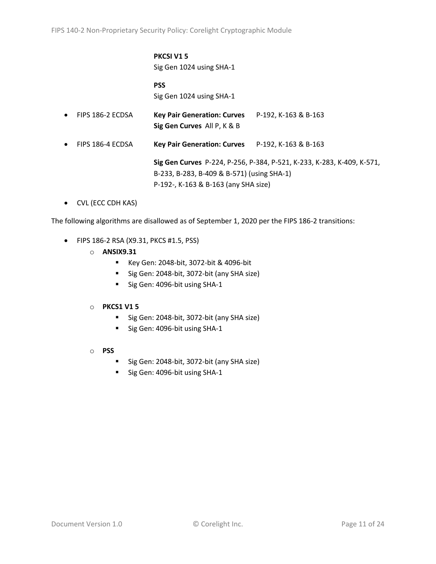# **PKCSI V1 5**

Sig Gen 1024 using SHA-1

#### **PSS** Sig Gen 1024 using SHA-1

- FIPS 186-2 ECDSA **Key Pair Generation: Curves** P-192, K-163 & B-163 **Sig Gen Curves** All P, K & B
- FIPS 186-4 ECDSA **Key Pair Generation: Curves** P-192, K-163 & B-163

**Sig Gen Curves** P-224, P-256, P-384, P-521, K-233, K-283, K-409, K-571, B-233, B-283, B-409 & B-571) (using SHA-1) P-192-, K-163 & B-163 (any SHA size)

• CVL (ECC CDH KAS)

The following algorithms are disallowed as of September 1, 2020 per the FIPS 186-2 transitions:

- FIPS 186-2 RSA (X9.31, PKCS #1.5, PSS)
	- o **ANSIX9.31**
		- Key Gen: 2048-bit, 3072-bit & 4096-bit
		- Sig Gen: 2048-bit, 3072-bit (any SHA size)
		- Sig Gen: 4096-bit using SHA-1

#### o **PKCS1 V1 5**

- Sig Gen: 2048-bit, 3072-bit (any SHA size)
- Sig Gen: 4096-bit using SHA-1
- o **PSS**
	- Sig Gen: 2048-bit, 3072-bit (any SHA size)
	- Sig Gen: 4096-bit using SHA-1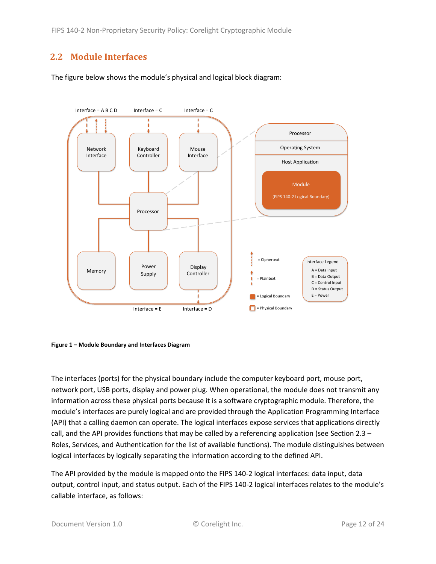# <span id="page-11-0"></span>**2.2 Module Interfaces**

The figure below shows the module's physical and logical block diagram:



<span id="page-11-1"></span>

The interfaces (ports) for the physical boundary include the computer keyboard port, mouse port, network port, USB ports, display and power plug. When operational, the module does not transmit any information across these physical ports because it is a software cryptographic module. Therefore, the module's interfaces are purely logical and are provided through the Application Programming Interface (API) that a calling daemon can operate. The logical interfaces expose services that applications directly call, and the API provides functions that may be called by a referencing application (see Sectio[n 2.3](#page-12-0) – [Roles, Services, and Authentication](#page-12-0) for the list of available functions). The module distinguishes between logical interfaces by logically separating the information according to the defined API.

The API provided by the module is mapped onto the FIPS 140-2 logical interfaces: data input, data output, control input, and status output. Each of the FIPS 140-2 logical interfaces relates to the module's callable interface, as follows: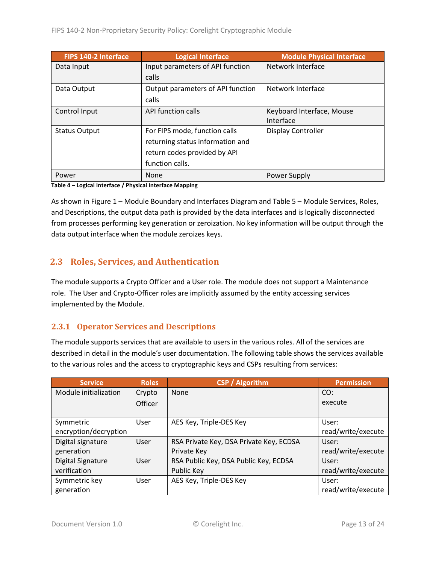| <b>FIPS 140-2 Interface</b> | <b>Logical Interface</b>          | <b>Module Physical Interface</b> |
|-----------------------------|-----------------------------------|----------------------------------|
| Data Input                  | Input parameters of API function  | Network Interface                |
|                             | calls                             |                                  |
| Data Output                 | Output parameters of API function | Network Interface                |
|                             | calls                             |                                  |
| Control Input               | API function calls                | Keyboard Interface, Mouse        |
|                             |                                   | Interface                        |
| <b>Status Output</b>        | For FIPS mode, function calls     | Display Controller               |
|                             | returning status information and  |                                  |
|                             | return codes provided by API      |                                  |
|                             | function calls.                   |                                  |
| Power                       | None                              | Power Supply                     |

**Table 4 – Logical Interface / Physical Interface Mapping**

As shown in Figure 1 – [Module Boundary and Interfaces Diagram](#page-11-1) and Table 5 – Module [Services, Roles,](#page-13-3) [and Descriptions,](#page-13-3) the output data path is provided by the data interfaces and is logically disconnected from processes performing key generation or zeroization. No key information will be output through the data output interface when the module zeroizes keys.

# <span id="page-12-0"></span>**2.3 Roles, Services, and Authentication**

The module supports a Crypto Officer and a User role. The module does not support a Maintenance role. The User and Crypto-Officer roles are implicitly assumed by the entity accessing services implemented by the Module.

#### <span id="page-12-1"></span>**2.3.1 Operator Services and Descriptions**

The module supports services that are available to users in the various roles. All of the services are described in detail in the module's user documentation. The following table shows the services available to the various roles and the access to cryptographic keys and CSPs resulting from services:

| <b>Service</b>           | <b>Roles</b>   | <b>CSP / Algorithm</b>                  | <b>Permission</b>  |
|--------------------------|----------------|-----------------------------------------|--------------------|
| Module initialization    | Crypto         | <b>None</b>                             | CO:                |
|                          | <b>Officer</b> |                                         | execute            |
|                          |                |                                         |                    |
| Symmetric                | User           | AES Key, Triple-DES Key                 | User:              |
| encryption/decryption    |                |                                         | read/write/execute |
| Digital signature        | User           | RSA Private Key, DSA Private Key, ECDSA | User:              |
| generation               |                | Private Key                             | read/write/execute |
| <b>Digital Signature</b> | User           | RSA Public Key, DSA Public Key, ECDSA   | User:              |
| verification             |                | Public Key                              | read/write/execute |
| Symmetric key            | User           | AES Key, Triple-DES Key                 | User:              |
| generation               |                |                                         | read/write/execute |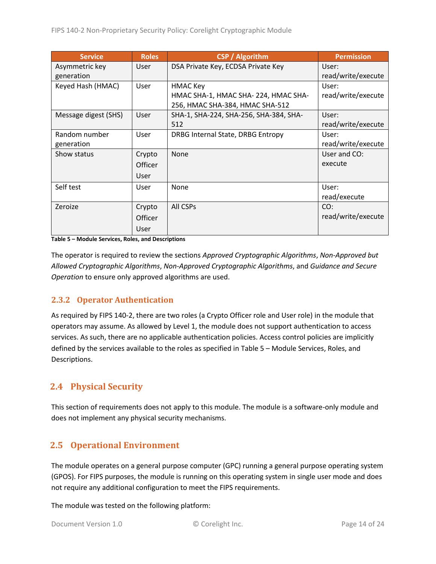| <b>Service</b>       | <b>Roles</b>   | <b>CSP</b> / Algorithm                 | <b>Permission</b>  |
|----------------------|----------------|----------------------------------------|--------------------|
| Asymmetric key       | <b>User</b>    | DSA Private Key, ECDSA Private Key     | User:              |
| generation           |                |                                        | read/write/execute |
| Keyed Hash (HMAC)    | User           | <b>HMAC Key</b>                        | User:              |
|                      |                | HMAC SHA-1, HMAC SHA-224, HMAC SHA-    | read/write/execute |
|                      |                | 256, HMAC SHA-384, HMAC SHA-512        |                    |
| Message digest (SHS) | User           | SHA-1, SHA-224, SHA-256, SHA-384, SHA- | User:              |
|                      |                | 512                                    | read/write/execute |
| Random number        | User           | DRBG Internal State, DRBG Entropy      | User:              |
| generation           |                |                                        | read/write/execute |
| Show status          | Crypto         | <b>None</b>                            | User and CO:       |
|                      | <b>Officer</b> |                                        | execute            |
|                      | User           |                                        |                    |
| Self test            | User           | None                                   | User:              |
|                      |                |                                        | read/execute       |
| Zeroize              | Crypto         | All CSPs                               | CO:                |
|                      | <b>Officer</b> |                                        | read/write/execute |
|                      | User           |                                        |                    |

<span id="page-13-3"></span>**Table 5 – Module Services, Roles, and Descriptions**

The operator is required to review the sections *Approved Cryptographic Algorithms*, *Non-Approved but Allowed Cryptographic Algorithms*, *Non-Approved Cryptographic Algorithms*, and *Guidance and Secure Operation* to ensure only approved algorithms are used.

#### <span id="page-13-0"></span>**2.3.2 Operator Authentication**

As required by FIPS 140-2, there are two roles (a Crypto Officer role and User role) in the module that operators may assume. As allowed by Level 1, the module does not support authentication to access services. As such, there are no applicable authentication policies. Access control policies are implicitly defined by the services available to the roles as specified in Table 5 – Module [Services, Roles,](#page-13-3) and [Descriptions.](#page-13-3)

## <span id="page-13-1"></span>**2.4 Physical Security**

This section of requirements does not apply to this module. The module is a software-only module and does not implement any physical security mechanisms.

## <span id="page-13-2"></span>**2.5 Operational Environment**

The module operates on a general purpose computer (GPC) running a general purpose operating system (GPOS). For FIPS purposes, the module is running on this operating system in single user mode and does not require any additional configuration to meet the FIPS requirements.

The module was tested on the following platform: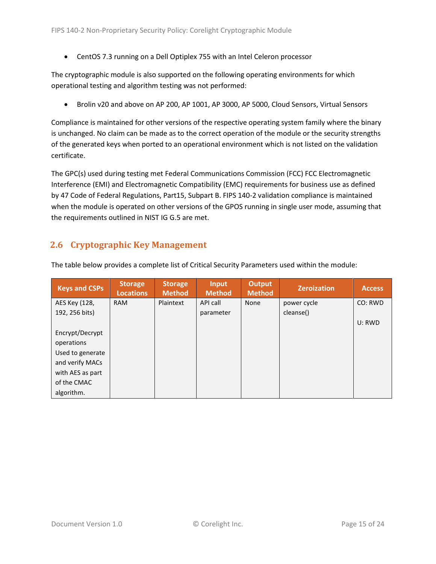• CentOS 7.3 running on a Dell Optiplex 755 with an Intel Celeron processor

The cryptographic module is also supported on the following operating environments for which operational testing and algorithm testing was not performed:

• Brolin v20 and above on AP 200, AP 1001, AP 3000, AP 5000, Cloud Sensors, Virtual Sensors

Compliance is maintained for other versions of the respective operating system family where the binary is unchanged. No claim can be made as to the correct operation of the module or the security strengths of the generated keys when ported to an operational environment which is not listed on the validation certificate.

The GPC(s) used during testing met Federal Communications Commission (FCC) FCC Electromagnetic Interference (EMI) and Electromagnetic Compatibility (EMC) requirements for business use as defined by 47 Code of Federal Regulations, Part15, Subpart B. FIPS 140-2 validation compliance is maintained when the module is operated on other versions of the GPOS running in single user mode, assuming that the requirements outlined in NIST IG G.5 are met.

# <span id="page-14-0"></span>**2.6 Cryptographic Key Management**

| <b>Keys and CSPs</b> | <b>Storage</b><br><b>Locations</b> | <b>Storage</b><br><b>Method</b> | <b>Input</b><br><b>Method</b> | <b>Output</b><br><b>Method</b> | <b>Zeroization</b> | <b>Access</b> |
|----------------------|------------------------------------|---------------------------------|-------------------------------|--------------------------------|--------------------|---------------|
| AES Key (128,        | <b>RAM</b>                         | Plaintext                       | API call                      | None                           | power cycle        | CO: RWD       |
| 192, 256 bits)       |                                    |                                 | parameter                     |                                | cleanse()          |               |
|                      |                                    |                                 |                               |                                |                    | U: RWD        |
| Encrypt/Decrypt      |                                    |                                 |                               |                                |                    |               |
| operations           |                                    |                                 |                               |                                |                    |               |
| Used to generate     |                                    |                                 |                               |                                |                    |               |
| and verify MACs      |                                    |                                 |                               |                                |                    |               |
| with AES as part     |                                    |                                 |                               |                                |                    |               |
| of the CMAC          |                                    |                                 |                               |                                |                    |               |
| algorithm.           |                                    |                                 |                               |                                |                    |               |

The table below provides a complete list of Critical Security Parameters used within the module: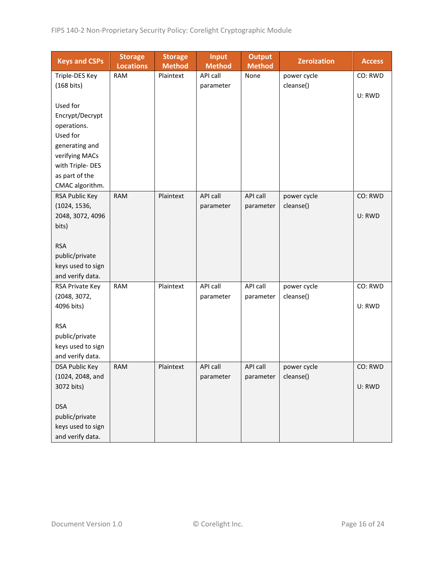| <b>Keys and CSPs</b>  | <b>Storage</b><br><b>Locations</b> | <b>Storage</b><br><b>Method</b> | <b>Input</b><br><b>Method</b> | <b>Output</b><br><b>Method</b> | <b>Zeroization</b> | <b>Access</b> |
|-----------------------|------------------------------------|---------------------------------|-------------------------------|--------------------------------|--------------------|---------------|
| Triple-DES Key        | <b>RAM</b>                         | Plaintext                       | API call                      | None                           | power cycle        | CO: RWD       |
| $(168 \text{ bits})$  |                                    |                                 | parameter                     |                                | cleanse()          |               |
|                       |                                    |                                 |                               |                                |                    | U: RWD        |
| Used for              |                                    |                                 |                               |                                |                    |               |
| Encrypt/Decrypt       |                                    |                                 |                               |                                |                    |               |
| operations.           |                                    |                                 |                               |                                |                    |               |
| Used for              |                                    |                                 |                               |                                |                    |               |
| generating and        |                                    |                                 |                               |                                |                    |               |
| verifying MACs        |                                    |                                 |                               |                                |                    |               |
| with Triple-DES       |                                    |                                 |                               |                                |                    |               |
| as part of the        |                                    |                                 |                               |                                |                    |               |
| CMAC algorithm.       |                                    |                                 |                               |                                |                    |               |
| RSA Public Key        | <b>RAM</b>                         | Plaintext                       | <b>API call</b>               | API call                       | power cycle        | CO: RWD       |
| (1024, 1536,          |                                    |                                 | parameter                     | parameter                      | cleanse()          |               |
| 2048, 3072, 4096      |                                    |                                 |                               |                                |                    | U: RWD        |
| bits)                 |                                    |                                 |                               |                                |                    |               |
|                       |                                    |                                 |                               |                                |                    |               |
| <b>RSA</b>            |                                    |                                 |                               |                                |                    |               |
| public/private        |                                    |                                 |                               |                                |                    |               |
| keys used to sign     |                                    |                                 |                               |                                |                    |               |
| and verify data.      |                                    |                                 |                               |                                |                    |               |
| RSA Private Key       | <b>RAM</b>                         | Plaintext                       | API call                      | API call                       | power cycle        | CO: RWD       |
| (2048, 3072,          |                                    |                                 | parameter                     | parameter                      | cleanse()          |               |
| 4096 bits)            |                                    |                                 |                               |                                |                    | U: RWD        |
| <b>RSA</b>            |                                    |                                 |                               |                                |                    |               |
| public/private        |                                    |                                 |                               |                                |                    |               |
| keys used to sign     |                                    |                                 |                               |                                |                    |               |
| and verify data.      |                                    |                                 |                               |                                |                    |               |
| <b>DSA Public Key</b> | <b>RAM</b>                         | Plaintext                       | API call                      | API call                       | power cycle        | CO: RWD       |
| (1024, 2048, and      |                                    |                                 | parameter                     | parameter                      | cleanse()          |               |
| 3072 bits)            |                                    |                                 |                               |                                |                    | U: RWD        |
|                       |                                    |                                 |                               |                                |                    |               |
| <b>DSA</b>            |                                    |                                 |                               |                                |                    |               |
| public/private        |                                    |                                 |                               |                                |                    |               |
| keys used to sign     |                                    |                                 |                               |                                |                    |               |
| and verify data.      |                                    |                                 |                               |                                |                    |               |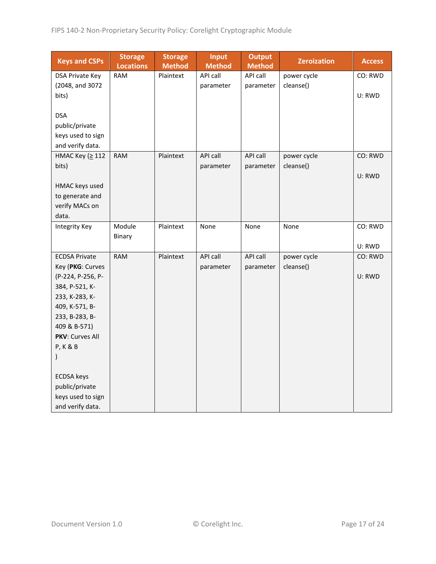| <b>Keys and CSPs</b>   | <b>Storage</b><br><b>Locations</b> | <b>Storage</b><br><b>Method</b> | Input<br><b>Method</b> | <b>Output</b><br><b>Method</b> | <b>Zeroization</b> | <b>Access</b> |
|------------------------|------------------------------------|---------------------------------|------------------------|--------------------------------|--------------------|---------------|
| <b>DSA Private Key</b> | <b>RAM</b>                         | Plaintext                       | API call               | API call                       | power cycle        | CO: RWD       |
| (2048, and 3072        |                                    |                                 | parameter              | parameter                      | cleanse()          |               |
| bits)                  |                                    |                                 |                        |                                |                    | U: RWD        |
|                        |                                    |                                 |                        |                                |                    |               |
| <b>DSA</b>             |                                    |                                 |                        |                                |                    |               |
| public/private         |                                    |                                 |                        |                                |                    |               |
| keys used to sign      |                                    |                                 |                        |                                |                    |               |
| and verify data.       |                                    |                                 |                        |                                |                    |               |
| НМАС Кеу (≥ 112        | <b>RAM</b>                         | Plaintext                       | API call               | API call                       | power cycle        | CO: RWD       |
| bits)                  |                                    |                                 | parameter              | parameter                      | cleanse()          |               |
|                        |                                    |                                 |                        |                                |                    | U: RWD        |
| HMAC keys used         |                                    |                                 |                        |                                |                    |               |
| to generate and        |                                    |                                 |                        |                                |                    |               |
| verify MACs on         |                                    |                                 |                        |                                |                    |               |
| data.                  |                                    |                                 |                        |                                |                    |               |
| <b>Integrity Key</b>   | Module                             | Plaintext                       | None                   | None                           | None               | CO: RWD       |
|                        | Binary                             |                                 |                        |                                |                    |               |
|                        |                                    |                                 |                        |                                |                    | U: RWD        |
| <b>ECDSA Private</b>   | <b>RAM</b>                         | Plaintext                       | API call               | API call                       | power cycle        | CO: RWD       |
| Key (PKG: Curves       |                                    |                                 | parameter              | parameter                      | cleanse()          |               |
| (P-224, P-256, P-      |                                    |                                 |                        |                                |                    | U: RWD        |
| 384, P-521, K-         |                                    |                                 |                        |                                |                    |               |
| 233, K-283, K-         |                                    |                                 |                        |                                |                    |               |
| 409, K-571, B-         |                                    |                                 |                        |                                |                    |               |
| 233, B-283, B-         |                                    |                                 |                        |                                |                    |               |
| 409 & B-571)           |                                    |                                 |                        |                                |                    |               |
| PKV: Curves All        |                                    |                                 |                        |                                |                    |               |
| <b>P, K &amp; B</b>    |                                    |                                 |                        |                                |                    |               |
| $\mathcal{E}$          |                                    |                                 |                        |                                |                    |               |
| <b>ECDSA</b> keys      |                                    |                                 |                        |                                |                    |               |
| public/private         |                                    |                                 |                        |                                |                    |               |
| keys used to sign      |                                    |                                 |                        |                                |                    |               |
| and verify data.       |                                    |                                 |                        |                                |                    |               |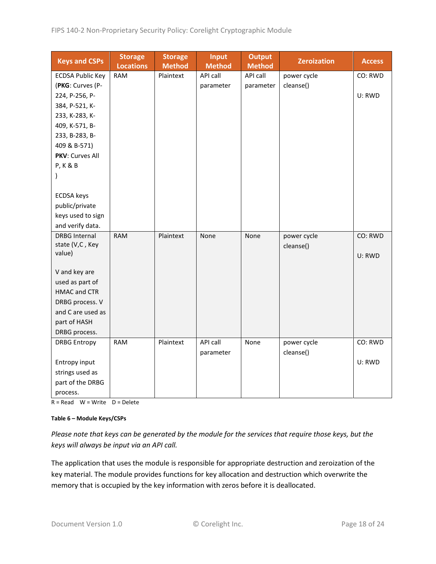| <b>Keys and CSPs</b>    | <b>Storage</b><br><b>Locations</b> | <b>Storage</b><br><b>Method</b> | <b>Input</b><br><b>Method</b> | <b>Output</b><br><b>Method</b> | <b>Zeroization</b> | <b>Access</b> |
|-------------------------|------------------------------------|---------------------------------|-------------------------------|--------------------------------|--------------------|---------------|
| <b>ECDSA Public Key</b> | <b>RAM</b>                         | Plaintext                       | API call                      | API call                       | power cycle        | CO: RWD       |
| (PKG: Curves (P-        |                                    |                                 | parameter                     | parameter                      | cleanse()          |               |
| 224, P-256, P-          |                                    |                                 |                               |                                |                    | U: RWD        |
| 384, P-521, K-          |                                    |                                 |                               |                                |                    |               |
| 233, K-283, K-          |                                    |                                 |                               |                                |                    |               |
| 409, K-571, B-          |                                    |                                 |                               |                                |                    |               |
| 233, B-283, B-          |                                    |                                 |                               |                                |                    |               |
| 409 & B-571)            |                                    |                                 |                               |                                |                    |               |
| <b>PKV: Curves All</b>  |                                    |                                 |                               |                                |                    |               |
| <b>P, K &amp; B</b>     |                                    |                                 |                               |                                |                    |               |
| $\mathcal{C}$           |                                    |                                 |                               |                                |                    |               |
| <b>ECDSA</b> keys       |                                    |                                 |                               |                                |                    |               |
| public/private          |                                    |                                 |                               |                                |                    |               |
| keys used to sign       |                                    |                                 |                               |                                |                    |               |
| and verify data.        |                                    |                                 |                               |                                |                    |               |
| <b>DRBG</b> Internal    | <b>RAM</b>                         | Plaintext                       | None                          | None                           | power cycle        | CO: RWD       |
| state (V,C, Key         |                                    |                                 |                               |                                | cleanse()          |               |
| value)                  |                                    |                                 |                               |                                |                    | U: RWD        |
|                         |                                    |                                 |                               |                                |                    |               |
| V and key are           |                                    |                                 |                               |                                |                    |               |
| used as part of         |                                    |                                 |                               |                                |                    |               |
| <b>HMAC and CTR</b>     |                                    |                                 |                               |                                |                    |               |
| DRBG process. V         |                                    |                                 |                               |                                |                    |               |
| and C are used as       |                                    |                                 |                               |                                |                    |               |
| part of HASH            |                                    |                                 |                               |                                |                    |               |
| DRBG process.           |                                    |                                 |                               |                                |                    |               |
| <b>DRBG Entropy</b>     | <b>RAM</b>                         | Plaintext                       | API call                      | None                           | power cycle        | CO: RWD       |
|                         |                                    |                                 | parameter                     |                                | cleanse()          |               |
| Entropy input           |                                    |                                 |                               |                                |                    | U: RWD        |
| strings used as         |                                    |                                 |                               |                                |                    |               |
| part of the DRBG        |                                    |                                 |                               |                                |                    |               |
| process.                |                                    |                                 |                               |                                |                    |               |

 $R = Read$  W = Write D = Delete

#### **Table 6 – Module Keys/CSPs**

*Please note that keys can be generated by the module for the services that require those keys, but the keys will always be input via an API call.*

The application that uses the module is responsible for appropriate destruction and zeroization of the key material. The module provides functions for key allocation and destruction which overwrite the memory that is occupied by the key information with zeros before it is deallocated.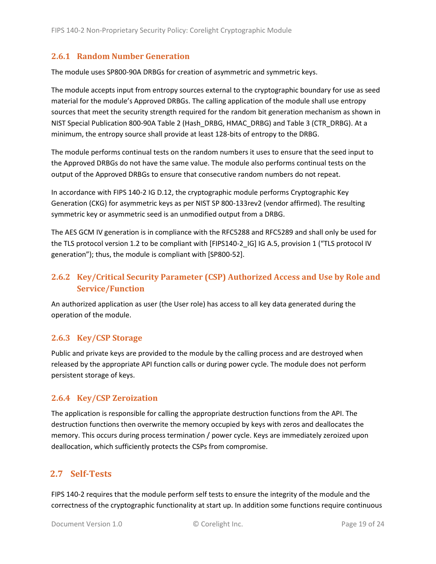#### <span id="page-18-0"></span>**2.6.1 Random Number Generation**

The module uses SP800-90A DRBGs for creation of asymmetric and symmetric keys.

The module accepts input from entropy sources external to the cryptographic boundary for use as seed material for the module's Approved DRBGs. The calling application of the module shall use entropy sources that meet the security strength required for the random bit generation mechanism as shown in NIST Special Publication 800-90A Table 2 (Hash\_DRBG, HMAC\_DRBG) and Table 3 (CTR\_DRBG). At a minimum, the entropy source shall provide at least 128-bits of entropy to the DRBG.

The module performs continual tests on the random numbers it uses to ensure that the seed input to the Approved DRBGs do not have the same value. The module also performs continual tests on the output of the Approved DRBGs to ensure that consecutive random numbers do not repeat.

In accordance with FIPS 140-2 IG D.12, the cryptographic module performs Cryptographic Key Generation (CKG) for asymmetric keys as per NIST SP 800-133rev2 (vendor affirmed). The resulting symmetric key or asymmetric seed is an unmodified output from a DRBG.

The AES GCM IV generation is in compliance with the RFC5288 and RFC5289 and shall only be used for the TLS protocol version 1.2 to be compliant with [FIPS140-2 IG] IG A.5, provision 1 ("TLS protocol IV generation"); thus, the module is compliant with [SP800-52].

# <span id="page-18-1"></span>**2.6.2 Key/Critical Security Parameter (CSP) Authorized Access and Use by Role and Service/Function**

An authorized application as user (the User role) has access to all key data generated during the operation of the module.

#### <span id="page-18-2"></span>**2.6.3 Key/CSP Storage**

Public and private keys are provided to the module by the calling process and are destroyed when released by the appropriate API function calls or during power cycle. The module does not perform persistent storage of keys.

#### <span id="page-18-3"></span>**2.6.4 Key/CSP Zeroization**

The application is responsible for calling the appropriate destruction functions from the API. The destruction functions then overwrite the memory occupied by keys with zeros and deallocates the memory. This occurs during process termination / power cycle. Keys are immediately zeroized upon deallocation, which sufficiently protects the CSPs from compromise.

## <span id="page-18-4"></span>**2.7 Self-Tests**

FIPS 140-2 requires that the module perform self tests to ensure the integrity of the module and the correctness of the cryptographic functionality at start up. In addition some functions require continuous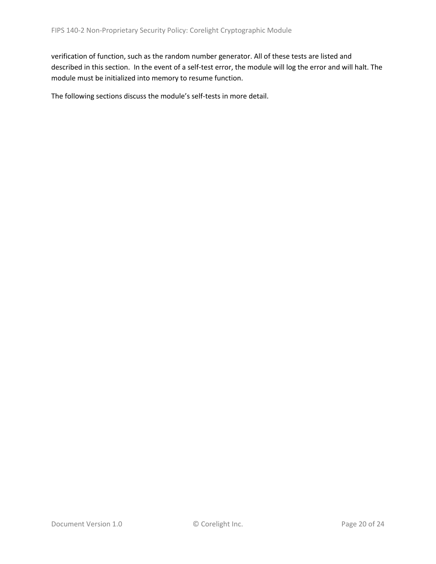verification of function, such as the random number generator. All of these tests are listed and described in this section. In the event of a self-test error, the module will log the error and will halt. The module must be initialized into memory to resume function.

The following sections discuss the module's self-tests in more detail.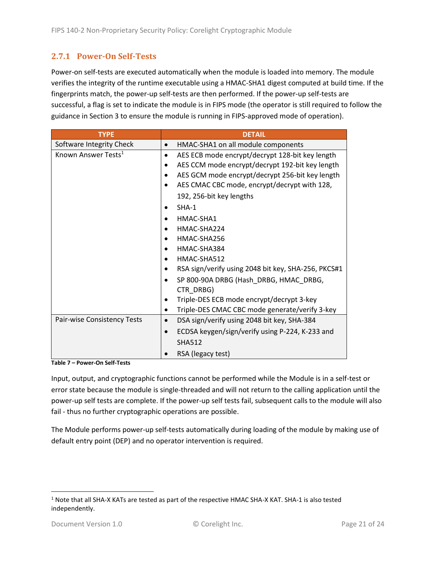#### <span id="page-20-0"></span>**2.7.1 Power-On Self-Tests**

Power-on self-tests are executed automatically when the module is loaded into memory. The module verifies the integrity of the runtime executable using a HMAC-SHA1 digest computed at build time. If the fingerprints match, the power-up self-tests are then performed. If the power-up self-tests are successful, a flag is set to indicate the module is in FIPS mode (the operator is still required to follow the guidance in Section 3 to ensure the module is running in FIPS-approved mode of operation).

| <b>TYPE</b>                     | <b>DETAIL</b>                                            |  |  |  |  |
|---------------------------------|----------------------------------------------------------|--|--|--|--|
| Software Integrity Check        | HMAC-SHA1 on all module components                       |  |  |  |  |
| Known Answer Tests <sup>1</sup> | AES ECB mode encrypt/decrypt 128-bit key length<br>٠     |  |  |  |  |
|                                 | AES CCM mode encrypt/decrypt 192-bit key length          |  |  |  |  |
|                                 | AES GCM mode encrypt/decrypt 256-bit key length          |  |  |  |  |
|                                 | AES CMAC CBC mode, encrypt/decrypt with 128,             |  |  |  |  |
|                                 | 192, 256-bit key lengths                                 |  |  |  |  |
|                                 | $SHA-1$                                                  |  |  |  |  |
|                                 | HMAC-SHA1                                                |  |  |  |  |
|                                 | HMAC-SHA224                                              |  |  |  |  |
|                                 | HMAC-SHA256                                              |  |  |  |  |
|                                 | HMAC-SHA384                                              |  |  |  |  |
|                                 | HMAC-SHA512                                              |  |  |  |  |
|                                 | RSA sign/verify using 2048 bit key, SHA-256, PKCS#1      |  |  |  |  |
|                                 | SP 800-90A DRBG (Hash_DRBG, HMAC_DRBG,                   |  |  |  |  |
|                                 | CTR_DRBG)                                                |  |  |  |  |
|                                 | Triple-DES ECB mode encrypt/decrypt 3-key                |  |  |  |  |
|                                 | Triple-DES CMAC CBC mode generate/verify 3-key<br>٠      |  |  |  |  |
| Pair-wise Consistency Tests     | DSA sign/verify using 2048 bit key, SHA-384<br>$\bullet$ |  |  |  |  |
|                                 | ECDSA keygen/sign/verify using P-224, K-233 and          |  |  |  |  |
|                                 | <b>SHA512</b>                                            |  |  |  |  |
|                                 | RSA (legacy test)                                        |  |  |  |  |

**Table 7 – Power-On Self-Tests**

Input, output, and cryptographic functions cannot be performed while the Module is in a self-test or error state because the module is single-threaded and will not return to the calling application until the power-up self tests are complete. If the power-up self tests fail, subsequent calls to the module will also fail - thus no further cryptographic operations are possible.

The Module performs power-up self-tests automatically during loading of the module by making use of default entry point (DEP) and no operator intervention is required.

<sup>1</sup> Note that all SHA-X KATs are tested as part of the respective HMAC SHA-X KAT. SHA-1 is also tested independently.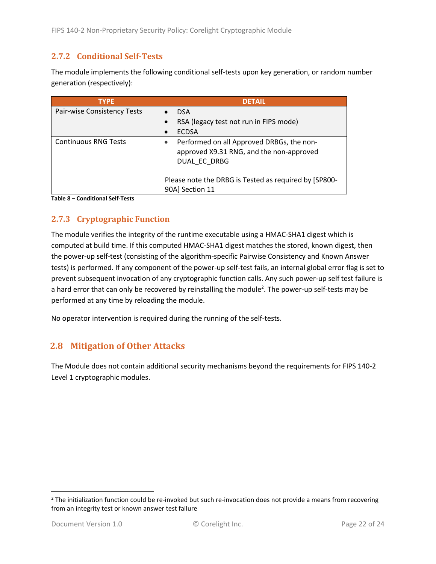#### <span id="page-21-0"></span>**2.7.2 Conditional Self-Tests**

The module implements the following conditional self-tests upon key generation, or random number generation (respectively):

| <b>TYPE</b>                 | <b>DETAIL</b>                                                                                         |
|-----------------------------|-------------------------------------------------------------------------------------------------------|
| Pair-wise Consistency Tests | <b>DSA</b>                                                                                            |
|                             | RSA (legacy test not run in FIPS mode)                                                                |
|                             | <b>ECDSA</b>                                                                                          |
| <b>Continuous RNG Tests</b> | Performed on all Approved DRBGs, the non-<br>approved X9.31 RNG, and the non-approved<br>DUAL EC DRBG |
|                             | Please note the DRBG is Tested as required by [SP800-<br>90A] Section 11                              |

**Table 8 – Conditional Self-Tests**

## <span id="page-21-1"></span>**2.7.3 Cryptographic Function**

The module verifies the integrity of the runtime executable using a HMAC-SHA1 digest which is computed at build time. If this computed HMAC-SHA1 digest matches the stored, known digest, then the power-up self-test (consisting of the algorithm-specific Pairwise Consistency and Known Answer tests) is performed. If any component of the power-up self-test fails, an internal global error flag is set to prevent subsequent invocation of any cryptographic function calls. Any such power-up self test failure is a hard error that can only be recovered by reinstalling the module<sup>2</sup>. The power-up self-tests may be performed at any time by reloading the module.

No operator intervention is required during the running of the self-tests.

## <span id="page-21-2"></span>**2.8 Mitigation of Other Attacks**

The Module does not contain additional security mechanisms beyond the requirements for FIPS 140-2 Level 1 cryptographic modules.

 $2$  The initialization function could be re-invoked but such re-invocation does not provide a means from recovering from an integrity test or known answer test failure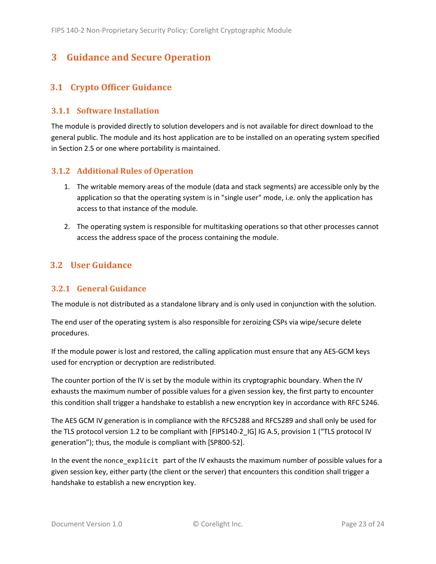# <span id="page-22-0"></span>**3 Guidance and Secure Operation**

# <span id="page-22-1"></span>**3.1 Crypto Officer Guidance**

#### <span id="page-22-2"></span>**3.1.1 Software Installation**

The module is provided directly to solution developers and is not available for direct download to the general public. The module and its host application are to be installed on an operating system specified in Section [2.5](#page-13-2) or one where portability is maintained.

#### <span id="page-22-3"></span>**3.1.2 Additional Rules of Operation**

- 1. The writable memory areas of the module (data and stack segments) are accessible only by the application so that the operating system is in "single user" mode, i.e. only the application has access to that instance of the module.
- 2. The operating system is responsible for multitasking operations so that other processes cannot access the address space of the process containing the module.

## <span id="page-22-4"></span>**3.2 User Guidance**

#### <span id="page-22-5"></span>**3.2.1 General Guidance**

The module is not distributed as a standalone library and is only used in conjunction with the solution.

The end user of the operating system is also responsible for zeroizing CSPs via wipe/secure delete procedures.

If the module power is lost and restored, the calling application must ensure that any AES-GCM keys used for encryption or decryption are redistributed.

The counter portion of the IV is set by the module within its cryptographic boundary. When the IV exhausts the maximum number of possible values for a given session key, the first party to encounter this condition shall trigger a handshake to establish a new encryption key in accordance with RFC 5246.

The AES GCM IV generation is in compliance with the RFC5288 and RFC5289 and shall only be used for the TLS protocol version 1.2 to be compliant with [FIPS140-2 IG] IG A.5, provision 1 ("TLS protocol IV generation"); thus, the module is compliant with [SP800-52].

In the event the nonce\_explicit part of the IV exhausts the maximum number of possible values for a given session key, either party (the client or the server) that encounters this condition shall trigger a handshake to establish a new encryption key.